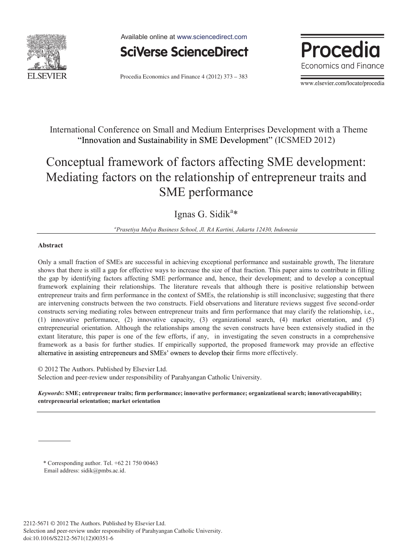

Available online at www.sciencedirect.com



Procedia Economics and Finance 4 (2012) 373 - 383

**Procedia Economics and Finance** 

www.elsevier.com/locate/procedia

International Conference on Small and Medium Enterprises Development with a Theme "Innovation and Sustainability in SME Development" (ICSMED 2012)

# Conceptual framework of factors affecting SME development: Mediating factors on the relationship of entrepreneur traits and SME performance

Ignas G. Sidik<sup>a\*</sup>

*a Prasetiya Mulya Business School, Jl. RA Kartini, Jakarta 12430, Indonesia* 

### **Abstract**

Only a small fraction of SMEs are successful in achieving exceptional performance and sustainable growth, The literature shows that there is still a gap for effective ways to increase the size of that fraction. This paper aims to contribute in filling the gap by identifying factors affecting SME performance and, hence, their development; and to develop a conceptual framework explaining their relationships. The literature reveals that although there is positive relationship between entrepreneur traits and firm performance in the context of SMEs, the relationship is still inconclusive; suggesting that there are intervening constructs between the two constructs. Field observations and literature reviews suggest five second-order constructs serving mediating roles between entrepreneur traits and firm performance that may clarify the relationship, i.e., (1) innovative performance, (2) innovative capacity, (3) organizational search, (4) market orientation, and (5) entrepreneurial orientation. Although the relationships among the seven constructs have been extensively studied in the extant literature, this paper is one of the few efforts, if any, in investigating the seven constructs in a comprehensive framework as a basis for further studies. If empirically supported, the proposed framework may provide an effective alternative in assisting entrepreneurs and SMEs' owners to develop their firms more effectively.

© 2012 The Authors. Published by Elsevier Ltd. © 2012 The Authors. Published by Elsevier Ltd. Selection and peer-review under responsibility of Parahyangan Catholic University.

*Keywords***: SME; entrepreneur traits; firm performance; innovative performance; organizational search; innovativecapability; entrepreneurial orientation; market orientation** 

\* Corresponding author. Tel. +62 21 750 00463 Email address: sidik@pmbs.ac.id.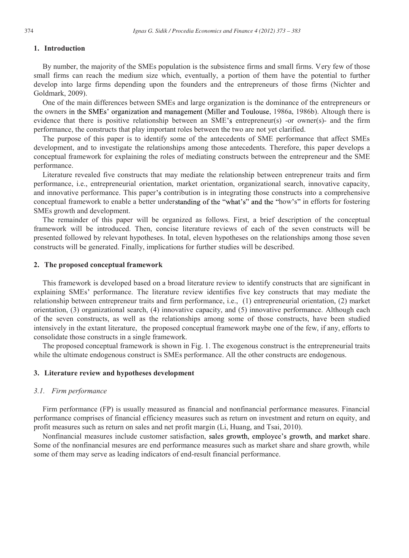## **1. Introduction**

By number, the majority of the SMEs population is the subsistence firms and small firms. Very few of those small firms can reach the medium size which, eventually, a portion of them have the potential to further develop into large firms depending upon the founders and the entrepreneurs of those firms (Nichter and Goldmark, 2009).

One of the main differences between SMEs and large organization is the dominance of the entrepreneurs or the owners in the SMEs' organization and management (Miller and Toulouse, 1986a, 1986b). Altough there is evidence that there is positive relationship between an SME's entrepreneur(s) -or owner(s)- and the firm performance, the constructs that play important roles between the two are not yet clarified.

The purpose of this paper is to identify some of the antecedents of SME performance that affect SMEs development, and to investigate the relationships among those antecedents. Therefore, this paper develops a conceptual framework for explaining the roles of mediating constructs between the entrepreneur and the SME performance.

Literature revealed five constructs that may mediate the relationship between entrepreneur traits and firm performance, i.e., entrepreneurial orientation, market orientation, organizational search, innovative capacity, and innovative performance. This paper's contribution is in integrating those constructs into a comprehensive conceptual framework to enable a better understanding of the "what's" and the "how's" in efforts for fostering SMEs growth and development.

The remainder of this paper will be organized as follows. First, a brief description of the conceptual framework will be introduced. Then, concise literature reviews of each of the seven constructs will be presented followed by relevant hypotheses. In total, eleven hypotheses on the relationships among those seven constructs will be generated. Finally, implications for further studies will be described.

#### **2. The proposed conceptual framework**

This framework is developed based on a broad literature review to identify constructs that are significant in explaining SMEs' performance. The literature review identifies five key constructs that may mediate the relationship between entrepreneur traits and firm performance, i.e., (1) entrepreneurial orientation, (2) market orientation, (3) organizational search, (4) innovative capacity, and (5) innovative performance. Although each of the seven constructs, as well as the relationships among some of those constructs, have been studied intensively in the extant literature, the proposed conceptual framework maybe one of the few, if any, efforts to consolidate those constructs in a single framework.

The proposed conceptual framework is shown in Fig. 1. The exogenous construct is the entrepreneurial traits while the ultimate endogenous construct is SMEs performance. All the other constructs are endogenous.

#### **3. Literature review and hypotheses development**

#### *3.1. Firm performance*

Firm performance (FP) is usually measured as financial and nonfinancial performance measures. Financial performance comprises of financial efficiency measures such as return on investment and return on equity, and profit measures such as return on sales and net profit margin (Li, Huang, and Tsai, 2010).

Nonfinancial measures include customer satisfaction, sales growth, employee's growth, and market share. Some of the nonfinancial mesures are end performance measures such as market share and share growth, while some of them may serve as leading indicators of end-result financial performance.